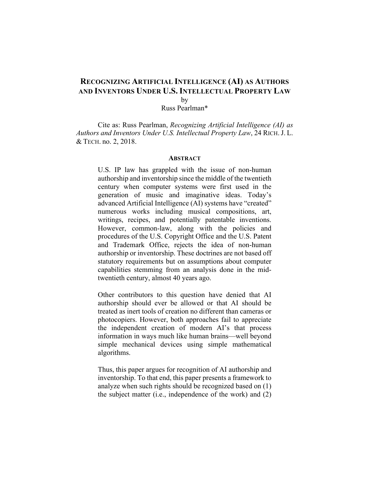# **RECOGNIZING ARTIFICIAL INTELLIGENCE (AI) AS AUTHORS AND INVENTORS UNDER U.S. INTELLECTUAL PROPERTY LAW** by

Russ Pearlman\*

Cite as: Russ Pearlman, *Recognizing Artificial Intelligence (AI) as Authors and Inventors Under U.S. Intellectual Property Law*, 24 RICH.J. L. & TECH. no. 2, 2018.

#### **ABSTRACT**

U.S. IP law has grappled with the issue of non-human authorship and inventorship since the middle of the twentieth century when computer systems were first used in the generation of music and imaginative ideas. Today's advanced Artificial Intelligence (AI) systems have "created" numerous works including musical compositions, art, writings, recipes, and potentially patentable inventions. However, common-law, along with the policies and procedures of the U.S. Copyright Office and the U.S. Patent and Trademark Office, rejects the idea of non-human authorship or inventorship. These doctrines are not based off statutory requirements but on assumptions about computer capabilities stemming from an analysis done in the midtwentieth century, almost 40 years ago.

Other contributors to this question have denied that AI authorship should ever be allowed or that AI should be treated as inert tools of creation no different than cameras or photocopiers. However, both approaches fail to appreciate the independent creation of modern AI's that process information in ways much like human brains—well beyond simple mechanical devices using simple mathematical algorithms.

Thus, this paper argues for recognition of AI authorship and inventorship. To that end, this paper presents a framework to analyze when such rights should be recognized based on (1) the subject matter (i.e., independence of the work) and (2)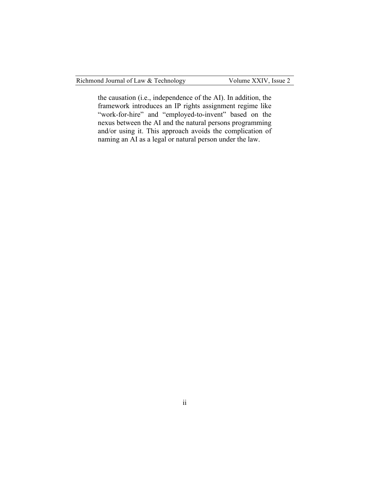Richmond Journal of Law & Technology Volume XXIV, Issue 2

the causation (i.e., independence of the AI). In addition, the framework introduces an IP rights assignment regime like "work-for-hire" and "employed-to-invent" based on the nexus between the AI and the natural persons programming and/or using it. This approach avoids the complication of naming an AI as a legal or natural person under the law.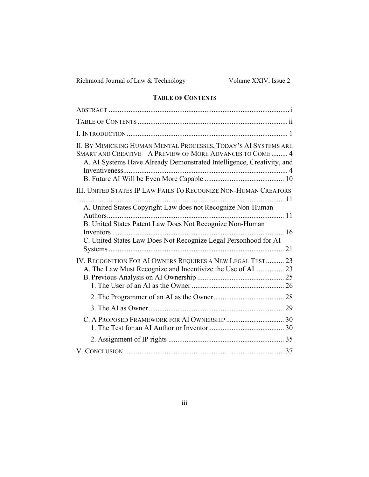| Richmond Journal of Law & Technology |  |  |  |  |  |
|--------------------------------------|--|--|--|--|--|
|--------------------------------------|--|--|--|--|--|

# **TABLE OF CONTENTS**

| II. BY MIMICKING HUMAN MENTAL PROCESSES, TODAY'S AI SYSTEMS ARE<br>SMART AND CREATIVE - A PREVIEW OF MORE ADVANCES TO COME 4<br>A. AI Systems Have Already Demonstrated Intelligence, Creativity, and |  |
|-------------------------------------------------------------------------------------------------------------------------------------------------------------------------------------------------------|--|
| III. UNITED STATES IP LAW FAILS TO RECOGNIZE NON-HUMAN CREATORS                                                                                                                                       |  |
| A. United States Copyright Law does not Recognize Non-Human<br>Authors<br>B. United States Patent Law Does Not Recognize Non-Human                                                                    |  |
| C. United States Law Does Not Recognize Legal Personhood for AI                                                                                                                                       |  |
| IV. RECOGNITION FOR AI OWNERS REQUIRES A NEW LEGAL TEST 23<br>A. The Law Must Recognize and Incentivize the Use of AI  23                                                                             |  |
|                                                                                                                                                                                                       |  |
|                                                                                                                                                                                                       |  |
|                                                                                                                                                                                                       |  |
|                                                                                                                                                                                                       |  |
|                                                                                                                                                                                                       |  |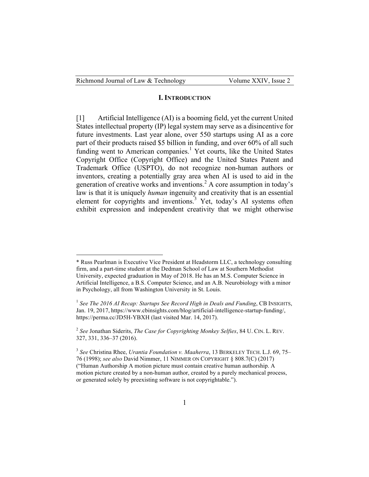| Richmond Journal of Law & Technology |  |
|--------------------------------------|--|
|--------------------------------------|--|

 $\overline{a}$ 

#### Volume XXIV, Issue 2

#### **I. INTRODUCTION**

[1] Artificial Intelligence (AI) is a booming field, yet the current United States intellectual property (IP) legal system may serve as a disincentive for future investments. Last year alone, over 550 startups using AI as a core part of their products raised \$5 billion in funding, and over 60% of all such funding went to American companies.<sup>1</sup> Yet courts, like the United States Copyright Office (Copyright Office) and the United States Patent and Trademark Office (USPTO), do not recognize non-human authors or inventors, creating a potentially gray area when AI is used to aid in the generation of creative works and inventions.<sup>2</sup> A core assumption in today's law is that it is uniquely *human* ingenuity and creativity that is an essential element for copyrights and inventions.<sup>3</sup> Yet, today's AI systems often exhibit expression and independent creativity that we might otherwise

<sup>\*</sup> Russ Pearlman is Executive Vice President at Headstorm LLC, a technology consulting firm, and a part-time student at the Dedman School of Law at Southern Methodist University, expected graduation in May of 2018. He has an M.S. Computer Science in Artificial Intelligence, a B.S. Computer Science, and an A.B. Neurobiology with a minor in Psychology, all from Washington University in St. Louis.

<sup>1</sup> *See The 2016 AI Recap: Startups See Record High in Deals and Funding*, CB INSIGHTS, Jan. 19, 2017, https://www.cbinsights.com/blog/artificial-intelligence-startup-funding/, https://perma.cc/JD5H-YBXH (last visited Mar. 14, 2017).

<sup>2</sup> *See* Jonathan Siderits, *The Case for Copyrighting Monkey Selfies*, 84 U. CIN. L. REV. 327, 331, 336–37 (2016).

<sup>3</sup> *See* Christina Rhee, *Urantia Foundation v. Maaherra*, 13 BERKELEY TECH. L.J. 69, 75– 76 (1998); *see also* David Nimmer, 11 NIMMER ON COPYRIGHT § 808.7(C) (2017) ("Human Authorship A motion picture must contain creative human authorship. A motion picture created by a non-human author, created by a purely mechanical process, or generated solely by preexisting software is not copyrightable.").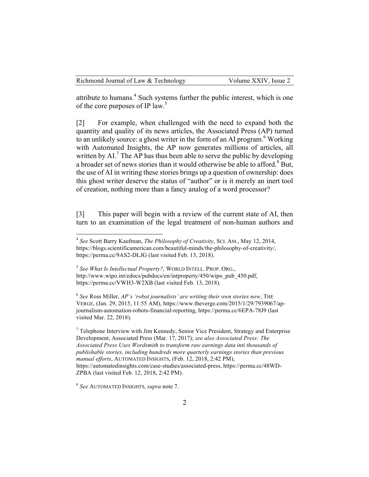attribute to humans.<sup>4</sup> Such systems further the public interest, which is one of the core purposes of IP law.<sup>5</sup>

[2] For example, when challenged with the need to expand both the quantity and quality of its news articles, the Associated Press (AP) turned to an unlikely source: a ghost writer in the form of an AI program.<sup>6</sup> Working with Automated Insights, the AP now generates millions of articles, all written by  $AI.^{7}$ . The AP has thus been able to serve the public by developing a broader set of news stories than it would otherwise be able to afford.<sup>8</sup> But, the use of AI in writing these stories brings up a question of ownership: does this ghost writer deserve the status of "author" or is it merely an inert tool of creation, nothing more than a fancy analog of a word processor?

[3] This paper will begin with a review of the current state of AI, then turn to an examination of the legal treatment of non-human authors and

<sup>6</sup> *See* Ross Miller, *AP's 'robot journalists' are writing their own stories now*, THE VERGE, (Jan. 29, 2015, 11:55 AM), https://www.theverge.com/2015/1/29/7939067/apjournalism-automation-robots-financial-reporting, https://perma.cc/6EPA-78J9 (last visited Mar. 22, 2018).

<sup>7</sup> Telephone Interview with Jim Kennedy, Senior Vice President, Strategy and Enterprise Development, Associated Press (Mar. 17, 2017); *see also Associated Press: The Associated Press Uses Wordsmith to transform raw earnings data inti thousands of publishable stories, including hundreds more quarterly earnings stories than previous manual efforts*, AUTOMATED INSIGHTS, (Feb. 12, 2018, 2:42 PM), https://automatedinsights.com/case-studies/associated-press, https://perma.cc/48WD-ZPBA (last visited Feb. 12, 2018, 2:42 PM).

 <sup>4</sup> *See* Scott Barry Kaufman, *The Philosophy of Creativity*, SCI. AM., May 12, 2014, https://blogs.scientificamerican.com/beautiful-minds/the-philosophy-of-creativity/, https://perma.cc/9AS2-DLJG (last visited Feb. 13, 2018).

<sup>5</sup> *See What Is Intellectual Property?*, WORLD INTELL. PROP. ORG., http://www.wipo.int/edocs/pubdocs/en/intproperty/450/wipo\_pub\_450.pdf, https://perma.cc/VWH3-W2XB (last visited Feb. 13, 2018).

<sup>8</sup> *See* AUTOMATED INSIGHTS*, supra* note 7.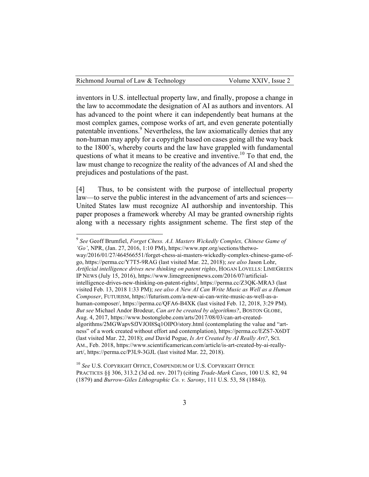inventors in U.S. intellectual property law, and finally, propose a change in the law to accommodate the designation of AI as authors and inventors. AI has advanced to the point where it can independently beat humans at the most complex games, compose works of art, and even generate potentially patentable inventions.<sup>9</sup> Nevertheless, the law axiomatically denies that any non-human may apply for a copyright based on cases going all the way back to the 1800's, whereby courts and the law have grappled with fundamental questions of what it means to be creative and inventive.<sup>10</sup> To that end, the law must change to recognize the reality of the advances of AI and shed the prejudices and postulations of the past.

[4] Thus, to be consistent with the purpose of intellectual property law—to serve the public interest in the advancement of arts and sciences— United States law must recognize AI authorship and inventorship. This paper proposes a framework whereby AI may be granted ownership rights along with a necessary rights assignment scheme. The first step of the

<sup>10</sup> *See* U.S. COPYRIGHT OFFICE, COMPENDIUM OF U.S. COPYRIGHT OFFICE PRACTICES §§ 306, 313.2 (3d ed. rev. 2017) (citing *Trade-Mark Cases*, 100 U.S. 82, 94 (1879) and *Burrow-Giles Lithographic Co. v. Sarony*, 111 U.S. 53, 58 (1884)).

 <sup>9</sup> *See* Geoff Brumfiel, *Forget Chess. A.I. Masters Wickedly Complex, Chinese Game of 'Go'*, NPR, (Jan. 27, 2016, 1:10 PM), https://www.npr.org/sections/thetwoway/2016/01/27/464566551/forget-chess-ai-masters-wickedly-complex-chinese-game-ofgo, https://perma.cc/Y7T5-9RAG (last visited Mar. 22, 2018); *see also* Jason Lohr, *Artificial intelligence drives new thinking on patent rights*, HOGAN LOVELLS: LIMEGREEN IP NEWS (July 15, 2016), https://www.limegreenipnews.com/2016/07/artificialintelligence-drives-new-thinking-on-patent-rights/, https://perma.cc/Z3QK-MRA3 (last visited Feb. 13, 2018 1:33 PM); *see also A New AI Can Write Music as Well as a Human Composer*, FUTURISM, https://futurism.com/a-new-ai-can-write-music-as-well-as-ahuman-composer/, https://perma.cc/QFA6-B4XK (last visited Feb. 12, 2018, 3:29 PM). *But see* Michael Andor Brodeur, *Can art be created by algorithms?*, BOSTON GLOBE, Aug. 4, 2017, https://www.bostonglobe.com/arts/2017/08/03/can-art-createdalgorithms/2MGWapvSfJVJOl8Sq1OIPO/story.html (contemplating the value and "artness" of a work created without effort and contemplation), https://perma.cc/EZS7-X6DT (last visited Mar. 22, 2018); *and* David Pogue, *Is Art Created by AI Really Art?*, SCI. AM., Feb. 2018, https://www.scientificamerican.com/article/is-art-created-by-ai-reallyart/, https://perma.cc/P3L9-3GJL (last visited Mar. 22, 2018).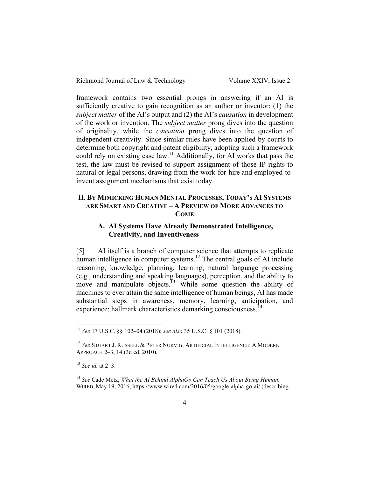| Richmond Journal of Law & Technology | Volume XXIV, Issue 2 |
|--------------------------------------|----------------------|
|--------------------------------------|----------------------|

framework contains two essential prongs in answering if an AI is sufficiently creative to gain recognition as an author or inventor: (1) the *subject matter* of the AI's output and (2) the AI's *causation* in development of the work or invention. The *subject matter* prong dives into the question of originality, while the *causation* prong dives into the question of independent creativity. Since similar rules have been applied by courts to determine both copyright and patent eligibility, adopting such a framework could rely on existing case law.<sup>11</sup> Additionally, for AI works that pass the test, the law must be revised to support assignment of those IP rights to natural or legal persons, drawing from the work-for-hire and employed-toinvent assignment mechanisms that exist today.

## **II. BY MIMICKING HUMAN MENTAL PROCESSES, TODAY'S AI SYSTEMS ARE SMART AND CREATIVE – A PREVIEW OF MORE ADVANCES TO COME**

# **A. AI Systems Have Already Demonstrated Intelligence, Creativity, and Inventiveness**

[5] AI itself is a branch of computer science that attempts to replicate human intelligence in computer systems.<sup>12</sup> The central goals of AI include reasoning, knowledge, planning, learning, natural language processing (e.g., understanding and speaking languages), perception, and the ability to move and manipulate objects.<sup>13</sup> While some question the ability of machines to ever attain the same intelligence of human beings, AI has made substantial steps in awareness, memory, learning, anticipation, and experience; hallmark characteristics demarking consciousness.<sup>14</sup>

 <sup>11</sup> *See* 17 U.S.C. §§ 102–04 (2018); *see also* 35 U.S.C. § 101 (2018).

<sup>12</sup> *See* STUART J. RUSSELL & PETER NORVIG, ARTIFICIAL INTELLIGENCE: A MODERN APPROACH 2–3, 14 (3d ed. 2010).

<sup>13</sup> *See id.* at 2–3.

<sup>14</sup> *See* Cade Metz, *What the AI Behind AlphaGo Can Teach Us About Being Human*, WIRED, May 19, 2016, https://www.wired.com/2016/05/google-alpha-go-ai/ (describing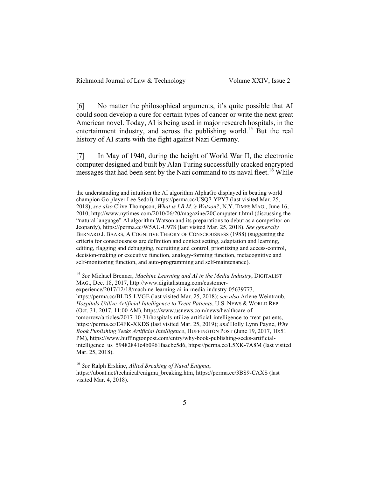$\overline{a}$ 

[6] No matter the philosophical arguments, it's quite possible that AI could soon develop a cure for certain types of cancer or write the next great American novel. Today, AI is being used in major research hospitals, in the entertainment industry, and across the publishing world.<sup>15</sup> But the real history of AI starts with the fight against Nazi Germany.

[7] In May of 1940, during the height of World War II, the electronic computer designed and built by Alan Turing successfully cracked encrypted messages that had been sent by the Nazi command to its naval fleet.<sup>16</sup> While

<sup>15</sup> *See* Michael Brenner, *Machine Learning and AI in the Media Industry*, DIGITALIST MAG., Dec. 18, 2017, http://www.digitalistmag.com/customerexperience/2017/12/18/machine-learning-ai-in-media-industry-05639773, https://perma.cc/BLD5-LVGE (last visited Mar. 25, 2018); *see also* Arlene Weintraub, *Hospitals Utilize Artificial Intelligence to Treat Patients*, U.S. NEWS & WORLD REP. (Oct. 31, 2017, 11:00 AM), https://www.usnews.com/news/healthcare-oftomorrow/articles/2017-10-31/hospitals-utilize-artificial-intelligence-to-treat-patients, https://perma.cc/E4FK-XKDS (last visited Mar. 25, 2019); *and* Holly Lynn Payne, *Why Book Publishing Seeks Artificial Intelligence*, HUFFINGTON POST (June 19, 2017, 10:51 PM), https://www.huffingtonpost.com/entry/why-book-publishing-seeks-artificialintelligence us 59482841e4b0961faacbe5d6, https://perma.cc/L5XK-7A8M (last visited Mar. 25, 2018).

<sup>16</sup> *See* Ralph Erskine, *Allied Breaking of Naval Enigma*, https://uboat.net/technical/enigma\_breaking.htm, https://perma.cc/3BS9-CAXS (last visited Mar. 4, 2018).

the understanding and intuition the AI algorithm AlphaGo displayed in beating world champion Go player Lee Sedol), https://perma.cc/USQ7-YPY7 (last visited Mar. 25, 2018); *see also* Clive Thompson, *What is I.B.M.'s Watson?*, N.Y. TIMES MAG., June 16, 2010, http://www.nytimes.com/2010/06/20/magazine/20Computer-t.html (discussing the "natural language" AI algorithm Watson and its preparations to debut as a competitor on Jeopardy), https://perma.cc/W5AU-U978 (last visited Mar. 25, 2018). *See generally* BERNARD J. BAARS, A COGNITIVE THEORY OF CONSCIOUSNESS (1988) (suggesting the criteria for consciousness are definition and context setting, adaptation and learning, editing, flagging and debugging, recruiting and control, prioritizing and access-control, decision-making or executive function, analogy-forming function, metacognitive and self-monitoring function, and auto-programming and self-maintenance).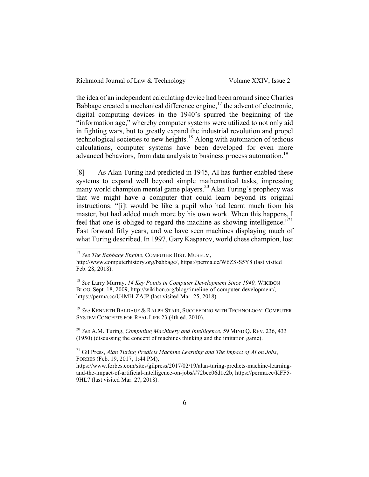the idea of an independent calculating device had been around since Charles Babbage created a mechanical difference engine, $17$  the advent of electronic, digital computing devices in the 1940's spurred the beginning of the "information age," whereby computer systems were utilized to not only aid in fighting wars, but to greatly expand the industrial revolution and propel technological societies to new heights.<sup>18</sup> Along with automation of tedious calculations, computer systems have been developed for even more advanced behaviors, from data analysis to business process automation.<sup>19</sup>

[8] As Alan Turing had predicted in 1945, AI has further enabled these systems to expand well beyond simple mathematical tasks, impressing many world champion mental game players.<sup>20</sup> Alan Turing's prophecy was that we might have a computer that could learn beyond its original instructions: "[i]t would be like a pupil who had learnt much from his master, but had added much more by his own work. When this happens, I feel that one is obliged to regard the machine as showing intelligence.<sup>"21</sup> Fast forward fifty years, and we have seen machines displaying much of what Turing described. In 1997, Gary Kasparov, world chess champion, lost

<sup>19</sup> *See* KENNETH BALDAUF & RALPH STAIR, SUCCEEDING WITH TECHNOLOGY: COMPUTER SYSTEM CONCEPTS FOR REAL LIFE 23 (4th ed. 2010).

<sup>20</sup> *See* A.M. Turing, *Computing Machinery and Intelligence*, 59 MIND Q. REV. 236, 433 (1950) (discussing the concept of machines thinking and the imitation game).

<sup>21</sup> Gil Press, *Alan Turing Predicts Machine Learning and The Impact of AI on Jobs*, FORBES (Feb. 19, 2017, 1:44 PM),

 <sup>17</sup> *See The Babbage Engine*, COMPUTER HIST. MUSEUM,

http://www.computerhistory.org/babbage/, https://perma.cc/W6ZS-S5Y8 (last visited Feb. 28, 2018).

<sup>18</sup> *See* Larry Murray, *14 Key Points in Computer Development Since 1940,* WIKIBON BLOG, Sept. 18, 2009, http://wikibon.org/blog/timeline-of-computer-development/, https://perma.cc/U4MH-ZAJP (last visited Mar. 25, 2018).

https://www.forbes.com/sites/gilpress/2017/02/19/alan-turing-predicts-machine-learningand-the-impact-of-artificial-intelligence-on-jobs/#72bcc06d1c2b, https://perma.cc/KFF5- 9HL7 (last visited Mar. 27, 2018).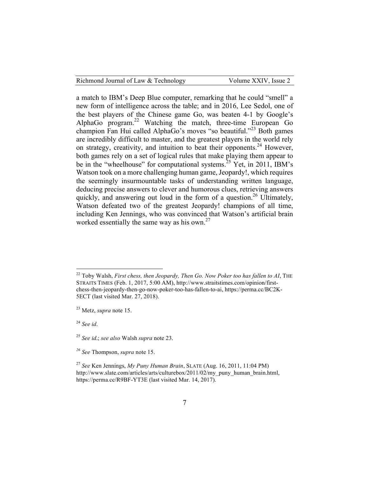| Richmond Journal of Law & Technology |  |  |  |  |  |  |  |  |
|--------------------------------------|--|--|--|--|--|--|--|--|
|--------------------------------------|--|--|--|--|--|--|--|--|

a match to IBM's Deep Blue computer, remarking that he could "smell" a new form of intelligence across the table; and in 2016, Lee Sedol, one of the best players of the Chinese game Go, was beaten 4-1 by Google's AlphaGo program.22 Watching the match, three-time European Go champion Fan Hui called AlphaGo's moves "so beautiful."<sup>23</sup> Both games are incredibly difficult to master, and the greatest players in the world rely on strategy, creativity, and intuition to beat their opponents.<sup>24</sup> However, both games rely on a set of logical rules that make playing them appear to be in the "wheelhouse" for computational systems.<sup>25</sup> Yet, in 2011, IBM's Watson took on a more challenging human game, Jeopardy!, which requires the seemingly insurmountable tasks of understanding written language, deducing precise answers to clever and humorous clues, retrieving answers quickly, and answering out loud in the form of a question.<sup>26</sup> Ultimately, Watson defeated two of the greatest Jeopardy! champions of all time, including Ken Jennings, who was convinced that Watson's artificial brain worked essentially the same way as his own. $27$ 

 <sup>22</sup> Toby Walsh, *First chess, then Jeopardy, Then Go. Now Poker too has fallen to AI*, THE STRAITS TIMES (Feb. 1, 2017, 5:00 AM), http://www.straitstimes.com/opinion/firstchess-then-jeopardy-then-go-now-poker-too-has-fallen-to-ai, https://perma.cc/BC2K-5ECT (last visited Mar. 27, 2018).

<sup>23</sup> Metz, *supra* note 15.

<sup>24</sup> *See id*.

<sup>25</sup> *See id*.; *see also* Walsh *supra* note 23.

*<sup>26</sup> See* Thompson, *supra* note 15.

<sup>27</sup> *See* Ken Jennings, *My Puny Human Brain*, SLATE (Aug. 16, 2011, 11:04 PM) http://www.slate.com/articles/arts/culturebox/2011/02/my\_puny\_human\_brain.html, https://perma.cc/R9BF-YT3E (last visited Mar. 14, 2017).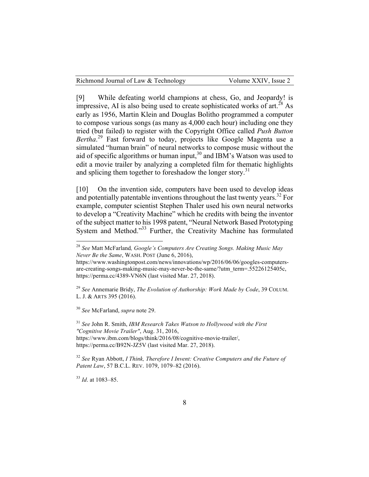|  | Richmond Journal of Law & Technology |  | Volume XXIV, Issue 2 |  |
|--|--------------------------------------|--|----------------------|--|
|--|--------------------------------------|--|----------------------|--|

[9] While defeating world champions at chess, Go, and Jeopardy! is impressive, AI is also being used to create sophisticated works of  $art.^{28}$  As early as 1956, Martin Klein and Douglas Bolitho programmed a computer to compose various songs (as many as 4,000 each hour) including one they tried (but failed) to register with the Copyright Office called *Push Button Bertha*. <sup>29</sup> Fast forward to today, projects like Google Magenta use a simulated "human brain" of neural networks to compose music without the aid of specific algorithms or human input,<sup>30</sup> and IBM's Watson was used to edit a movie trailer by analyzing a completed film for thematic highlights and splicing them together to foreshadow the longer story.<sup>31</sup>

[10] On the invention side, computers have been used to develop ideas and potentially patentable inventions throughout the last twenty years.<sup>32</sup> For example, computer scientist Stephen Thaler used his own neural networks to develop a "Creativity Machine" which he credits with being the inventor of the subject matter to his 1998 patent, "Neural Network Based Prototyping System and Method." <sup>33</sup> Further, the Creativity Machine has formulated

<sup>30</sup> *See* McFarland, *supra* note 29.

<sup>31</sup> *See* John R. Smith, *IBM Research Takes Watson to Hollywood with the First "Cognitive Movie Trailer"*, Aug. 31, 2016, https://www.ibm.com/blogs/think/2016/08/cognitive-movie-trailer/, https://perma.cc/B92N-JZ5V (last visited Mar. 27, 2018).

<sup>32</sup> *See* Ryan Abbott, *I Think, Therefore I Invent: Creative Computers and the Future of Patent Law*, 57 B.C.L. REV. 1079, 1079–82 (2016).

<sup>33</sup> *Id*. at 1083–85.

 <sup>28</sup> *See* Matt McFarland*, Google's Computers Are Creating Songs. Making Music May Never Be the Same*, WASH. POST (June 6, 2016),

https://www.washingtonpost.com/news/innovations/wp/2016/06/06/googles-computersare-creating-songs-making-music-may-never-be-the-same/?utm\_term=.55226125405c, https://perma.cc/4389-VN6N (last visited Mar. 27, 2018).

<sup>29</sup> *See* Annemarie Bridy, *The Evolution of Authorship: Work Made by Code*, 39 COLUM. L. J. & ARTS 395 (2016).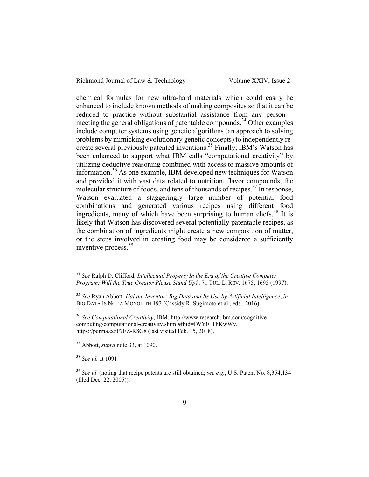chemical formulas for new ultra-hard materials which could easily be enhanced to include known methods of making composites so that it can be reduced to practice without substantial assistance from any person – meeting the general obligations of patentable compounds.<sup>34</sup> Other examples include computer systems using genetic algorithms (an approach to solving problems by mimicking evolutionary genetic concepts) to independently recreate several previously patented inventions.<sup>35</sup> Finally, IBM's Watson has been enhanced to support what IBM calls "computational creativity" by utilizing deductive reasoning combined with access to massive amounts of information.<sup>36</sup> As one example, IBM developed new techniques for Watson and provided it with vast data related to nutrition, flavor compounds, the molecular structure of foods, and tens of thousands of recipes.<sup>37</sup> In response, Watson evaluated a staggeringly large number of potential food combinations and generated various recipes using different food ingredients, many of which have been surprising to human chefs.<sup>38</sup> It is likely that Watson has discovered several potentially patentable recipes, as the combination of ingredients might create a new composition of matter, or the steps involved in creating food may be considered a sufficiently inventive process.<sup>39</sup>

<sup>37</sup> Abbott, *supra* note 33, at 1090.

<sup>38</sup> *See id.* at 1091.

 <sup>34</sup> *See* Ralph D. Clifford*, Intellectual Property In the Era of the Creative Computer Program: Will the True Creator Please Stand Up?*, 71 TUL. L. REV. 1675, 1695 (1997).

<sup>35</sup> *See* Ryan Abbott*, Hal the Inventor: Big Data and Its Use by Artificial Intelligence*, *in* BIG DATA IS NOT A MONOLITH 193 (Cassidy R. Sugimoto et al., eds., 2016).

<sup>36</sup> *See Computational Creativity*, IBM, http://www.research.ibm.com/cognitivecomputing/computational-creativity.shtml#fbid=IWY0\_ThKwWv, https://perma.cc/P7EZ-R8G8 (last visited Feb. 15, 2018).

<sup>39</sup> *See id*. (noting that recipe patents are still obtained; *see e.g.*, U.S. Patent No. 8,354,134 (filed Dec. 22, 2005)).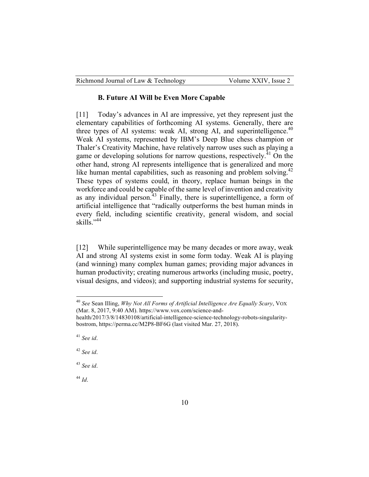| Richmond Journal of Law & Technology | Volume XXIV, Issue 2 |
|--------------------------------------|----------------------|
|--------------------------------------|----------------------|

#### **B. Future AI Will be Even More Capable**

[11] Today's advances in AI are impressive, yet they represent just the elementary capabilities of forthcoming AI systems. Generally, there are three types of AI systems: weak AI, strong AI, and superintelligence.<sup>40</sup> Weak AI systems, represented by IBM's Deep Blue chess champion or Thaler's Creativity Machine, have relatively narrow uses such as playing a game or developing solutions for narrow questions, respectively.<sup>41</sup> On the other hand, strong AI represents intelligence that is generalized and more like human mental capabilities, such as reasoning and problem solving.<sup>42</sup> These types of systems could, in theory, replace human beings in the workforce and could be capable of the same level of invention and creativity as any individual person.<sup>43</sup> Finally, there is superintelligence, a form of artificial intelligence that "radically outperforms the best human minds in every field, including scientific creativity, general wisdom, and social skills."<sup>44</sup>

[12] While superintelligence may be many decades or more away, weak AI and strong AI systems exist in some form today. Weak AI is playing (and winning) many complex human games; providing major advances in human productivity; creating numerous artworks (including music, poetry, visual designs, and videos); and supporting industrial systems for security,

<sup>42</sup> *See id*.

<sup>43</sup> *See id*.

<sup>44</sup> *Id*.

 <sup>40</sup> *See* Sean Illing, *Why Not All Forms of Artificial Intelligence Are Equally Scary*, VOX (Mar. 8, 2017, 9:40 AM). https://www.vox.com/science-and-

health/2017/3/8/14830108/artificial-intelligence-science-technology-robots-singularitybostrom, https://perma.cc/M2P8-BF6G (last visited Mar. 27, 2018).

<sup>41</sup> *See id*.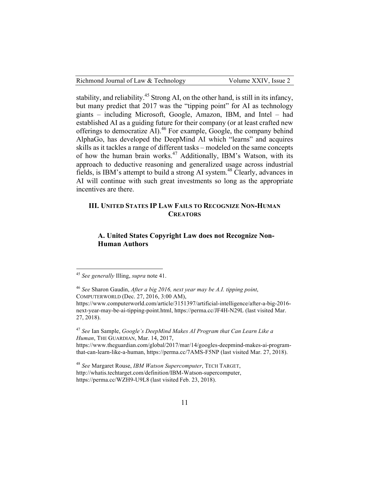| Richmond Journal of Law & Technology | Volume XXIV, Issue 2 |
|--------------------------------------|----------------------|
|--------------------------------------|----------------------|

stability, and reliability.<sup>45</sup> Strong AI, on the other hand, is still in its infancy, but many predict that 2017 was the "tipping point" for AI as technology giants – including Microsoft, Google, Amazon, IBM, and Intel – had established AI as a guiding future for their company (or at least crafted new offerings to democratize AI).<sup>46</sup> For example, Google, the company behind AlphaGo, has developed the DeepMind AI which "learns" and acquires skills as it tackles a range of different tasks – modeled on the same concepts of how the human brain works.<sup>47</sup> Additionally, IBM's Watson, with its approach to deductive reasoning and generalized usage across industrial fields, is IBM's attempt to build a strong AI system.<sup>48</sup> Clearly, advances in AI will continue with such great investments so long as the appropriate incentives are there.

### **III. UNITED STATES IP LAW FAILS TO RECOGNIZE NON-HUMAN CREATORS**

## **A. United States Copyright Law does not Recognize Non-Human Authors**

<sup>46</sup> *See* Sharon Gaudin, *After a big 2016, next year may be A.I. tipping point*, COMPUTERWORLD (Dec. 27, 2016, 3:00 AM), https://www.computerworld.com/article/3151397/artificial-intelligence/after-a-big-2016 next-year-may-be-ai-tipping-point.html, https://perma.cc/JF4H-N29L (last visited Mar. 27, 2018).

<sup>47</sup> *See* Ian Sample, *Google's DeepMind Makes AI Program that Can Learn Like a Human*, THE GUARDIAN, Mar. 14, 2017, https://www.theguardian.com/global/2017/mar/14/googles-deepmind-makes-ai-program-

that-can-learn-like-a-human, https://perma.cc/7AMS-F5NP (last visited Mar. 27, 2018).

<sup>48</sup> *See* Margaret Rouse, *IBM Watson Supercomputer*, TECH TARGET, http://whatis.techtarget.com/definition/IBM-Watson-supercomputer, https://perma.cc/WZH9-U9L8 (last visited Feb. 23, 2018).

 <sup>45</sup> *See generally* Illing, *supra* note 41.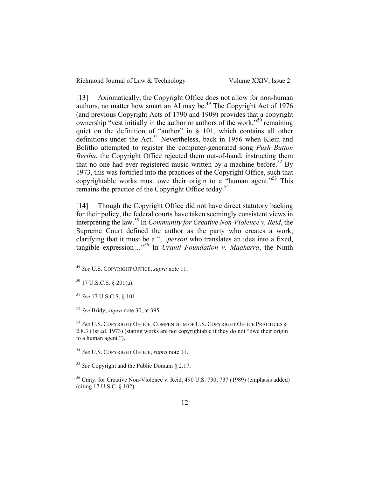| Richmond Journal of Law & Technology | Volume XXIV, Issue 2 |
|--------------------------------------|----------------------|
|--------------------------------------|----------------------|

[13] Axiomatically, the Copyright Office does not allow for non-human authors, no matter how smart an AI may be.<sup>49</sup> The Copyright Act of 1976 (and previous Copyright Acts of 1790 and 1909) provides that a copyright ownership "vest initially in the author or authors of the work,"<sup>50</sup> remaining quiet on the definition of "author" in § 101, which contains all other definitions under the Act.<sup>51</sup> Nevertheless, back in 1956 when Klein and Bolitho attempted to register the computer-generated song *Push Button Bertha*, the Copyright Office rejected them out-of-hand, instructing them that no one had ever registered music written by a machine before.<sup>52</sup> By 1973, this was fortified into the practices of the Copyright Office, such that copyrightable works must owe their origin to a "human agent."<sup>53</sup> This remains the practice of the Copyright Office today.<sup>54</sup>

[14] Though the Copyright Office did not have direct statutory backing for their policy, the federal courts have taken seemingly consistent views in interpreting the law.<sup>55</sup> In *Community for Creative Non-Violence v. Reid*, the Supreme Court defined the author as the party who creates a work, clarifying that it must be a "…*person* who translates an idea into a fixed, tangible expression…"56 In *Uranti Foundation v. Maaherra*, the Ninth

<sup>51</sup> *See* 17 U.S.C.S. § 101.

<sup>52</sup> *See* Bridy, *supra* note 30, at 395.

<sup>53</sup> *See* U.S. COPYRIGHT OFFICE*,* COMPENDIUM OF U.S. COPYRIGHT OFFICE PRACTICES § 2.8.3 (1st ed. 1973) (stating works are not copyrightable if they do not "owe their origin to a human agent.").

<sup>54</sup> *See* U.S. COPYRIGHT OFFICE, *supra* note 11.

<sup>55</sup> *See* Copyright and the Public Domain § 2.17.

<sup>56</sup> Cmty. for Creative Non-Violence v. Reid, 490 U.S. 730, 737 (1989) (emphasis added) (citing 17 U.S.C. § 102).

 <sup>49</sup> *See* U.S. COPYRIGHT OFFICE, *supra* note 11.

 $50$  17 U.S.C.S. § 201(a).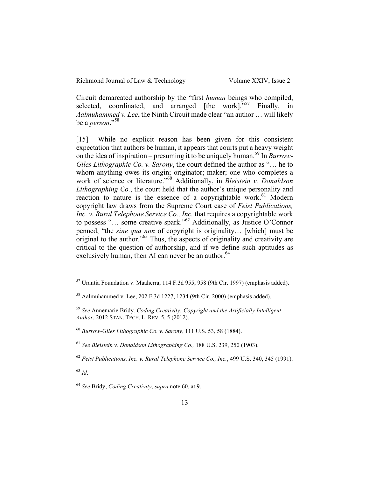Circuit demarcated authorship by the "first *human* beings who compiled, selected, coordinated, and arranged  $[the work]$ . Finally, in *Aalmuhammed v. Lee*, the Ninth Circuit made clear "an author … will likely be a *person*."58

[15] While no explicit reason has been given for this consistent expectation that authors be human, it appears that courts put a heavy weight on the idea of inspiration – presuming it to be uniquely human.<sup>59</sup> In *Burrow-Giles Lithographic Co. v. Sarony*, the court defined the author as "… he to whom anything owes its origin; originator; maker; one who completes a work of science or literature."<sup>60</sup> Additionally, in *Bleistein v. Donaldson Lithographing Co.*, the court held that the author's unique personality and reaction to nature is the essence of a copyrightable work.<sup>61</sup> Modern copyright law draws from the Supreme Court case of *Feist Publications, Inc. v. Rural Telephone Service Co., Inc.* that requires a copyrightable work to possess "… some creative spark."<sup>62</sup> Additionally, as Justice O'Connor penned, "the *sine qua non* of copyright is originality… [which] must be original to the author.<sup>563</sup> Thus, the aspects of originality and creativity are critical to the question of authorship, and if we define such aptitudes as exclusively human, then AI can never be an author.<sup>64</sup>

<sup>63</sup> *Id*.

 $\overline{a}$ 

 $57$  Urantia Foundation v. Maaherra, 114 F.3d 955, 958 (9th Cir. 1997) (emphasis added).

 $58$  Aalmuhammed v. Lee, 202 F.3d 1227, 1234 (9th Cir. 2000) (emphasis added).

<sup>59</sup> *See* Annemarie Bridy*, Coding Creativity: Copyright and the Artificially Intelligent Author*, 2012 STAN. TECH. L. REV. 5, 5 (2012).

<sup>60</sup> *Burrow-Giles Lithographic Co. v. Sarony*, 111 U.S. 53, 58 (1884).

<sup>61</sup> *See Bleistein v. Donaldson Lithographing Co.,* 188 U.S. 239, 250 (1903).

<sup>62</sup> *Feist Publications, Inc. v. Rural Telephone Service Co., Inc.*, 499 U.S. 340, 345 (1991).

<sup>64</sup> *See* Bridy, *Coding Creativity*, *supra* note 60, at 9.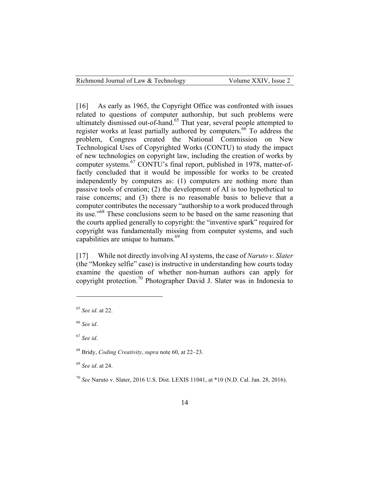[16] As early as 1965, the Copyright Office was confronted with issues related to questions of computer authorship, but such problems were ultimately dismissed out-of-hand.<sup>65</sup> That year, several people attempted to register works at least partially authored by computers.<sup>66</sup> To address the problem, Congress created the National Commission on New Technological Uses of Copyrighted Works (CONTU) to study the impact of new technologies on copyright law, including the creation of works by computer systems.67 CONTU's final report, published in 1978, matter-offactly concluded that it would be impossible for works to be created independently by computers as: (1) computers are nothing more than passive tools of creation; (2) the development of AI is too hypothetical to raise concerns; and (3) there is no reasonable basis to believe that a computer contributes the necessary "authorship to a work produced through its use.<sup>568</sup> These conclusions seem to be based on the same reasoning that the courts applied generally to copyright: the "inventive spark" required for copyright was fundamentally missing from computer systems, and such capabilities are unique to humans.<sup>69</sup>

[17] While not directly involving AI systems, the case of *Naruto v. Slater* (the "Monkey selfie" case) is instructive in understanding how courts today examine the question of whether non-human authors can apply for copyright protection.<sup>70</sup> Photographer David J. Slater was in Indonesia to

 $\overline{a}$ 

<sup>65</sup> *See id*. at 22.

<sup>66</sup> *See id*.

<sup>67</sup> *See id*.

<sup>68</sup> Bridy, *Coding Creativity*, *supra* note 60, at 22–23.

<sup>69</sup> *See id*. at 24.

<sup>70</sup> *See* Naruto v. Slater, 2016 U.S. Dist. LEXIS 11041, at \*10 (N.D. Cal. Jan. 28, 2016).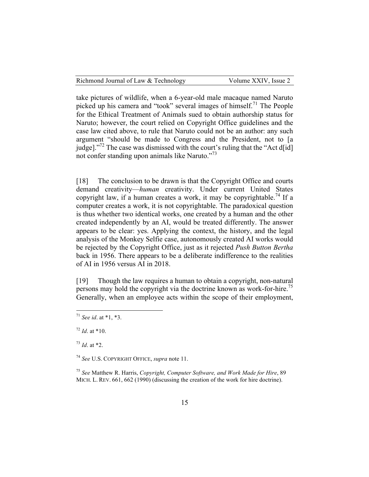|  | Richmond Journal of Law & Technology |  |  |
|--|--------------------------------------|--|--|
|--|--------------------------------------|--|--|

take pictures of wildlife, when a 6-year-old male macaque named Naruto picked up his camera and "took" several images of himself.<sup>71</sup> The People for the Ethical Treatment of Animals sued to obtain authorship status for Naruto; however, the court relied on Copyright Office guidelines and the case law cited above, to rule that Naruto could not be an author: any such argument "should be made to Congress and the President, not to [a judge]."<sup>72</sup> The case was dismissed with the court's ruling that the "Act d[id] not confer standing upon animals like Naruto."73

[18] The conclusion to be drawn is that the Copyright Office and courts demand creativity—*human* creativity. Under current United States copyright law, if a human creates a work, it may be copyrightable.<sup>74</sup> If a computer creates a work, it is not copyrightable. The paradoxical question is thus whether two identical works, one created by a human and the other created independently by an AI, would be treated differently. The answer appears to be clear: yes. Applying the context, the history, and the legal analysis of the Monkey Selfie case, autonomously created AI works would be rejected by the Copyright Office, just as it rejected *Push Button Bertha* back in 1956. There appears to be a deliberate indifference to the realities of AI in 1956 versus AI in 2018.

[19] Though the law requires a human to obtain a copyright, non-natural persons may hold the copyright via the doctrine known as work-for-hire.<sup>75</sup> Generally, when an employee acts within the scope of their employment,

 <sup>71</sup> *See id*. at \*1, \*3.

<sup>72</sup> *Id*. at \*10.

 $^{73}$  *Id.* at \*2.

<sup>74</sup> *See* U.S. COPYRIGHT OFFICE, *supra* note 11.

<sup>75</sup> *See* Matthew R. Harris, *Copyright, Computer Software, and Work Made for Hire*, 89 MICH. L. REV. 661, 662 (1990) (discussing the creation of the work for hire doctrine).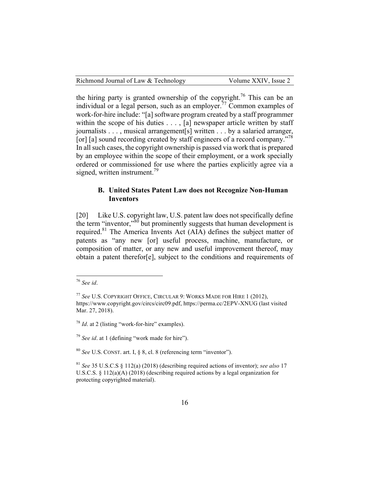| Richmond Journal of Law & Technology | Volume XXIV, Issue 2 |
|--------------------------------------|----------------------|
|--------------------------------------|----------------------|

the hiring party is granted ownership of the copyright.<sup>76</sup> This can be an individual or a legal person, such as an employer.77 Common examples of work-for-hire include: "[a] software program created by a staff programmer within the scope of his duties . . . , [a] newspaper article written by staff journalists . . . , musical arrangement[s] written . . . by a salaried arranger, [or] [a] sound recording created by staff engineers of a record company."<sup>78</sup> In all such cases, the copyright ownership is passed via work that is prepared by an employee within the scope of their employment, or a work specially ordered or commissioned for use where the parties explicitly agree via a signed, written instrument.<sup>79</sup>

### **B. United States Patent Law does not Recognize Non-Human Inventors**

[20] Like U.S. copyright law, U.S. patent law does not specifically define the term "inventor,"<sup>80</sup> but prominently suggests that human development is required.<sup>81</sup> The America Invents Act (AIA) defines the subject matter of patents as "any new [or] useful process, machine, manufacture, or composition of matter, or any new and useful improvement thereof, may obtain a patent therefor[e], subject to the conditions and requirements of

 <sup>76</sup> *See id*.

<sup>77</sup> *See* U.S. COPYRIGHT OFFICE, CIRCULAR 9: WORKS MADE FOR HIRE 1 (2012), https://www.copyright.gov/circs/circ09.pdf, https://perma.cc/2EPV-XNUG (last visited Mar. 27, 2018).

<sup>78</sup> *Id*. at 2 (listing "work-for-hire" examples).

<sup>79</sup> *See id*. at 1 (defining "work made for hire").

<sup>80</sup> *See* U.S. CONST. art. I, § 8, cl. 8 (referencing term "inventor").

<sup>81</sup> *See* 35 U.S.C.S § 112(a) (2018) (describing required actions of inventor); *see also* 17 U.S.C.S. § 112(a)(A) (2018) (describing required actions by a legal organization for protecting copyrighted material).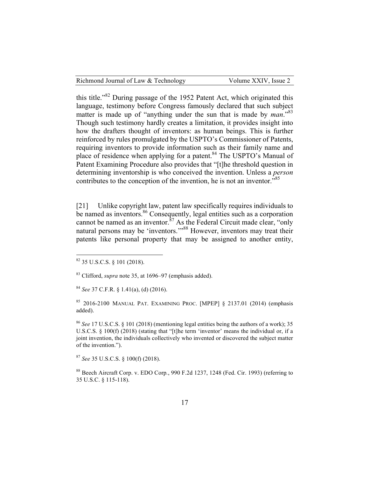| Richmond Journal of Law & Technology | Volume XXIV, Issue 2 |
|--------------------------------------|----------------------|
|--------------------------------------|----------------------|

this title."<sup>82</sup> During passage of the 1952 Patent Act, which originated this language, testimony before Congress famously declared that such subject matter is made up of "anything under the sun that is made by *man*."<sup>83</sup> Though such testimony hardly creates a limitation, it provides insight into how the drafters thought of inventors: as human beings. This is further reinforced by rules promulgated by the USPTO's Commissioner of Patents, requiring inventors to provide information such as their family name and place of residence when applying for a patent.<sup>84</sup> The USPTO's Manual of Patent Examining Procedure also provides that "[t]he threshold question in determining inventorship is who conceived the invention. Unless a *person* contributes to the conception of the invention, he is not an inventor.<sup>85</sup>

[21] Unlike copyright law, patent law specifically requires individuals to be named as inventors.<sup>86</sup> Consequently, legal entities such as a corporation cannot be named as an inventor. $87$  As the Federal Circuit made clear, "only natural persons may be 'inventors.'"<sup>88</sup> However, inventors may treat their patents like personal property that may be assigned to another entity,

<sup>83</sup> Clifford, *supra* note 35, at 1696–97 (emphasis added).

<sup>84</sup> *See* 37 C.F.R. § 1.41(a), (d) (2016).

<sup>85</sup> 2016-2100 MANUAL PAT. EXAMINING PROC. [MPEP] § 2137.01 (2014) (emphasis added).

<sup>86</sup> *See* 17 U.S.C.S. § 101 (2018) (mentioning legal entities being the authors of a work); 35 U.S.C.S. § 100(f) (2018) (stating that "[t]he term 'inventor' means the individual or, if a joint invention, the individuals collectively who invented or discovered the subject matter of the invention.").

<sup>87</sup> *See* 35 U.S.C.S. § 100(f) (2018).

<sup>88</sup> Beech Aircraft Corp. v. EDO Corp*.*, 990 F.2d 1237, 1248 (Fed. Cir. 1993) (referring to 35 U.S.C. § 115-118).

 $82$  35 U.S.C.S. § 101 (2018).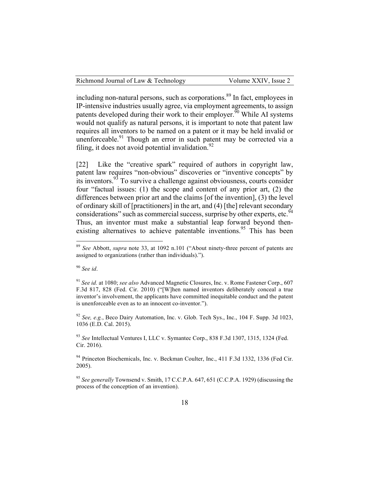including non-natural persons, such as corporations.<sup>89</sup> In fact, employees in IP-intensive industries usually agree, via employment agreements, to assign patents developed during their work to their employer.<sup> $\overline{90}$ </sup> While AI systems would not qualify as natural persons, it is important to note that patent law requires all inventors to be named on a patent or it may be held invalid or unenforceable. $91$  Though an error in such patent may be corrected via a filing, it does not avoid potential invalidation.<sup>92</sup>

[22] Like the "creative spark" required of authors in copyright law, patent law requires "non-obvious" discoveries or "inventive concepts" by its inventors.<sup>93</sup> To survive a challenge against obviousness, courts consider four "factual issues: (1) the scope and content of any prior art, (2) the differences between prior art and the claims [of the invention], (3) the level of ordinary skill of [practitioners] in the art, and (4) [the] relevant secondary considerations" such as commercial success, surprise by other experts, etc.<sup>94</sup> Thus, an inventor must make a substantial leap forward beyond thenexisting alternatives to achieve patentable inventions.<sup>95</sup> This has been

<sup>90</sup> *See id*.

<sup>93</sup> *See* Intellectual Ventures I, LLC v. Symantec Corp., 838 F.3d 1307, 1315, 1324 (Fed. Cir. 2016).

<sup>94</sup> Princeton Biochemicals, Inc. v. Beckman Coulter, Inc., 411 F.3d 1332, 1336 (Fed Cir. 2005).

<sup>95</sup> *See generally* Townsend v. Smith, 17 C.C.P.A. 647, 651 (C.C.P.A. 1929) (discussing the process of the conception of an invention).

 <sup>89</sup> *See* Abbott, *supra* note 33, at 1092 n.101 ("About ninety-three percent of patents are assigned to organizations (rather than individuals).").

<sup>91</sup> *See id.* at 1080; *see also* Advanced Magnetic Closures, Inc. v. Rome Fastener Corp., 607 F.3d 817, 828 (Fed. Cir. 2010) ("[W]hen named inventors deliberately conceal a true inventor's involvement, the applicants have committed inequitable conduct and the patent is unenforceable even as to an innocent co-inventor.").

<sup>92</sup> *See, e.g.*, Beco Dairy Automation, Inc. v. Glob. Tech Sys., Inc., 104 F. Supp. 3d 1023, 1036 (E.D. Cal. 2015).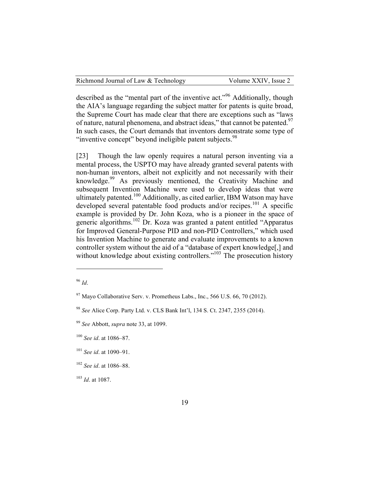described as the "mental part of the inventive act."<sup>96</sup> Additionally, though the AIA's language regarding the subject matter for patents is quite broad, the Supreme Court has made clear that there are exceptions such as "laws of nature, natural phenomena, and abstract ideas," that cannot be patented.<sup>97</sup> In such cases, the Court demands that inventors demonstrate some type of "inventive concept" beyond ineligible patent subjects.<sup>98</sup>

[23] Though the law openly requires a natural person inventing via a mental process, the USPTO may have already granted several patents with non-human inventors, albeit not explicitly and not necessarily with their knowledge.<sup>99</sup> As previously mentioned, the Creativity Machine and subsequent Invention Machine were used to develop ideas that were ultimately patented.<sup>100</sup> Additionally, as cited earlier, IBM Watson may have developed several patentable food products and/or recipes.<sup>101</sup> A specific example is provided by Dr. John Koza, who is a pioneer in the space of generic algorithms.<sup>102</sup> Dr. Koza was granted a patent entitled "Apparatus for Improved General-Purpose PID and non-PID Controllers," which used his Invention Machine to generate and evaluate improvements to a known controller system without the aid of a "database of expert knowledge[,] and without knowledge about existing controllers."<sup>103</sup> The prosecution history

 $\overline{a}$ 

<sup>96</sup> *Id*.

 $^{97}$  Mayo Collaborative Serv. v. Prometheus Labs., Inc., 566 U.S. 66, 70 (2012).

<sup>98</sup> *See* Alice Corp. Party Ltd. v. CLS Bank Int'l, 134 S. Ct. 2347, 2355 (2014).

<sup>99</sup> *See* Abbott, *supra* note 33, at 1099.

<sup>100</sup> *See id*. at 1086–87.

<sup>101</sup> *See id*. at 1090–91.

<sup>102</sup> *See id*. at 1086–88.

<sup>103</sup> *Id*. at 1087.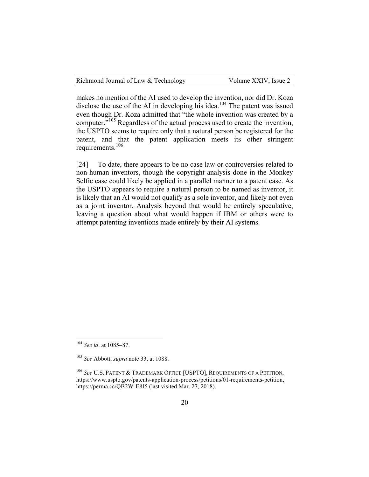makes no mention of the AI used to develop the invention, nor did Dr. Koza disclose the use of the AI in developing his idea.<sup>104</sup> The patent was issued even though Dr. Koza admitted that "the whole invention was created by a computer.<sup>5105</sup> Regardless of the actual process used to create the invention, the USPTO seems to require only that a natural person be registered for the patent, and that the patent application meets its other stringent requirements.<sup>106</sup>

[24] To date, there appears to be no case law or controversies related to non-human inventors, though the copyright analysis done in the Monkey Selfie case could likely be applied in a parallel manner to a patent case. As the USPTO appears to require a natural person to be named as inventor, it is likely that an AI would not qualify as a sole inventor, and likely not even as a joint inventor. Analysis beyond that would be entirely speculative, leaving a question about what would happen if IBM or others were to attempt patenting inventions made entirely by their AI systems.

 <sup>104</sup> *See id*. at 1085–87.

<sup>105</sup> *See* Abbott, *supra* note 33, at 1088.

<sup>106</sup> *See* U.S. PATENT & TRADEMARK OFFICE [USPTO], REQUIREMENTS OF A PETITION, https://www.uspto.gov/patents-application-process/petitions/01-requirements-petition, https://perma.cc/QB2W-E8J5 (last visited Mar. 27, 2018).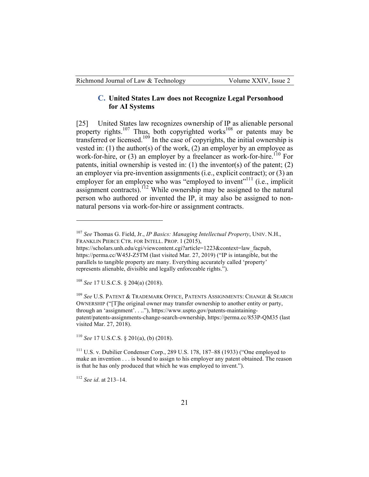## **C. United States Law does not Recognize Legal Personhood for AI Systems**

[25] United States law recognizes ownership of IP as alienable personal property rights.<sup>107</sup> Thus, both copyrighted works<sup>108</sup> or patents may be transferred or licensed.<sup>109</sup> In the case of copyrights, the initial ownership is vested in: (1) the author(s) of the work, (2) an employer by an employee as work-for-hire, or  $(3)$  an employer by a freelancer as work-for-hire.<sup>110</sup> For patents, initial ownership is vested in: (1) the inventor(s) of the patent; (2) an employer via pre-invention assignments (i.e., explicit contract); or (3) an employer for an employee who was "employed to invent"<sup>111</sup> (i.e., implicit assignment contracts).<sup>112</sup> While ownership may be assigned to the natural person who authored or invented the IP, it may also be assigned to nonnatural persons via work-for-hire or assignment contracts.

<sup>108</sup> *See* 17 U.S.C.S. § 204(a) (2018).

 $\overline{a}$ 

<sup>110</sup> *See* 17 U.S.C.S. § 201(a), (b) (2018).

<sup>111</sup> U.S. v. Dubilier Condenser Corp., 289 U.S. 178, 187–88 (1933) ("One employed to make an invention . . . is bound to assign to his employer any patent obtained. The reason is that he has only produced that which he was employed to invent.").

<sup>112</sup> *See id*. at 213–14.

<sup>107</sup> *See* Thomas G. Field, Jr., *IP Basics: Managing Intellectual Property*, UNIV. N.H., FRANKLIN PIERCE CTR. FOR INTELL. PROP. 1 (2015),

https://scholars.unh.edu/cgi/viewcontent.cgi?article=1223&context=law\_facpub, https://perma.cc/W45J-Z5TM (last visited Mar. 27, 2019) ("IP is intangible, but the parallels to tangible property are many. Everything accurately called 'property' represents alienable, divisible and legally enforceable rights.").

<sup>109</sup> *See* U.S. PATENT & TRADEMARK OFFICE, PATENTS ASSIGNMENTS: CHANGE & SEARCH OWNERSHIP ("[T]he original owner may transfer ownership to another entity or party, through an 'assignment'. . .."), https://www.uspto.gov/patents-maintainingpatent/patents-assignments-change-search-ownership, https://perma.cc/853P-QM35 (last visited Mar. 27, 2018).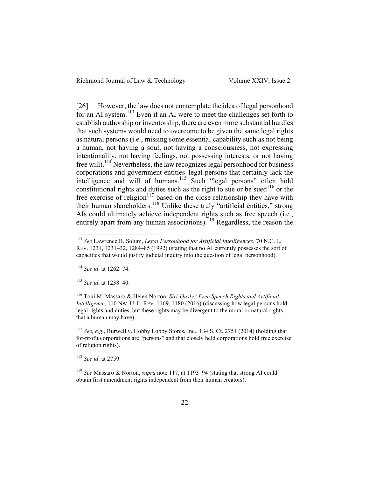[26] However, the law does not contemplate the idea of legal personhood for an AI system.<sup>113</sup> Even if an AI were to meet the challenges set forth to establish authorship or inventorship, there are even more substantial hurdles that such systems would need to overcome to be given the same legal rights as natural persons (i.e., missing some essential capability such as not being a human, not having a soul, not having a consciousness, not expressing intentionality, not having feelings, not possessing interests, or not having free will).<sup>114</sup> Nevertheless, the law recognizes legal personhood for business corporations and government entities–legal persons that certainly lack the intelligence and will of humans.<sup>115</sup> Such "legal persons" often hold constitutional rights and duties such as the right to sue or be sued<sup>116</sup> or the free exercise of religion $117$  based on the close relationship they have with their human shareholders.<sup>118</sup> Unlike these truly "artificial entities," strong AIs could ultimately achieve independent rights such as free speech (i.e., entirely apart from any human associations).<sup>119</sup> Regardless, the reason the

<sup>114</sup> *See id*. at 1262–74.

<sup>115</sup> *See id*. at 1238–40.

<sup>117</sup> *See, e.g.*, Burwell v. Hobby Lobby Stores, Inc., 134 S. Ct. 2751 (2014) (holding that for-profit corporations are "persons" and that closely held corporations hold free exercise of religion rights).

<sup>118</sup> *See id*. at 2759.

<sup>119</sup> *See* Massaro & Norton, *supra* note 117, at 1193–94 (stating that strong AI could obtain first amendment rights independent from their human creators).

 <sup>113</sup> *See* Lawrence B. Solum, *Legal Personhood for Artificial Intelligences*, 70 N.C. L. REV. 1231, 1231–32, 1284–85 (1992) (stating that no AI currently possesses the sort of capacities that would justify judicial inquiry into the question of legal personhood).

<sup>116</sup> Toni M. Massaro & Helen Norton, *Siri-Ously? Free Speech Rights and Artificial Intelligence*, 110 NW. U. L. REV. 1169, 1180 (2016) (discussing how legal persons hold legal rights and duties, but these rights may be divergent to the moral or natural rights that a human may have).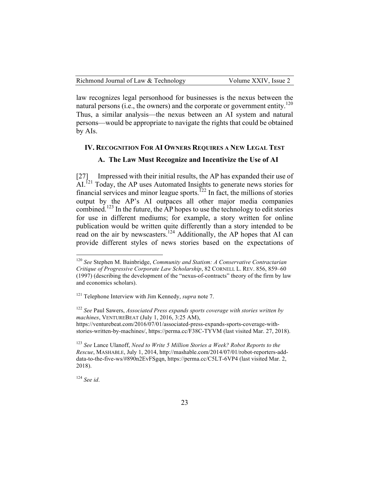law recognizes legal personhood for businesses is the nexus between the natural persons (i.e., the owners) and the corporate or government entity.<sup>120</sup> Thus, a similar analysis—the nexus between an AI system and natural persons—would be appropriate to navigate the rights that could be obtained by AIs.

# **IV. RECOGNITION FOR AI OWNERS REQUIRES A NEW LEGAL TEST A. The Law Must Recognize and Incentivize the Use of AI**

[27] Impressed with their initial results, the AP has expanded their use of AI.<sup>121</sup> Today, the AP uses Automated Insights to generate news stories for financial services and minor league sports.<sup> $722$ </sup> In fact, the millions of stories output by the AP's AI outpaces all other major media companies combined.<sup>123</sup> In the future, the AP hopes to use the technology to edit stories for use in different mediums; for example, a story written for online publication would be written quite differently than a story intended to be read on the air by newscasters.<sup>124</sup> Additionally, the AP hopes that AI can provide different styles of news stories based on the expectations of

<sup>122</sup> *See* Paul Sawers, *Associated Press expands sports coverage with stories written by machines*, VENTUREBEAT (July 1, 2016, 3:25 AM), https://venturebeat.com/2016/07/01/associated-press-expands-sports-coverage-withstories-written-by-machines/, https://perma.cc/F38C-TYVM (last visited Mar. 27, 2018).

<sup>123</sup> *See* Lance Ulanoff, *Need to Write 5 Million Stories a Week? Robot Reports to the Rescue*, MASHABLE, July 1, 2014, http://mashable.com/2014/07/01/robot-reporters-adddata-to-the-five-ws/#890n2EvFSgqn, https://perma.cc/C5LT-6VP4 (last visited Mar. 2, 2018).

<sup>124</sup> *See id*.

 <sup>120</sup> *See* Stephen M. Bainbridge, *Community and Statism: A Conservative Contractarian Critique of Progressive Corporate Law Scholarship*, 82 CORNELL L. REV. 856, 859–60 (1997) (describing the development of the "nexus-of-contracts" theory of the firm by law and economics scholars).

<sup>121</sup> Telephone Interview with Jim Kennedy, *supra* note 7.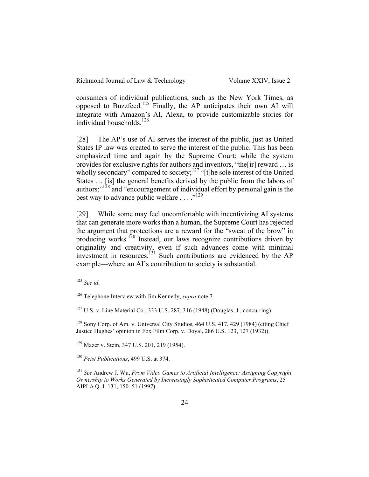consumers of individual publications, such as the New York Times, as opposed to Buzzfeed.<sup>125</sup> Finally, the AP anticipates their own AI will integrate with Amazon's AI, Alexa, to provide customizable stories for individual households.<sup>126</sup>

[28] The AP's use of AI serves the interest of the public, just as United States IP law was created to serve the interest of the public. This has been emphasized time and again by the Supreme Court: while the system provides for exclusive rights for authors and inventors, "the[ir] reward … is wholly secondary" compared to society;<sup>127</sup> "[t]he sole interest of the United States … [is] the general benefits derived by the public from the labors of authors;"<sup>128</sup> and "encouragement of individual effort by personal gain is the best way to advance public welfare  $\dots$ <sup>129</sup>

[29] While some may feel uncomfortable with incentivizing AI systems that can generate more works than a human, the Supreme Court has rejected the argument that protections are a reward for the "sweat of the brow" in producing works.<sup>130</sup> Instead, our laws recognize contributions driven by originality and creativity, even if such advances come with minimal investment in resources.<sup>131</sup> Such contributions are evidenced by the AP example—where an AI's contribution to society is substantial.

<sup>127</sup> U.S. v. Line Material Co., 333 U.S. 287, 316 (1948) (Douglas, J., concurring).

<sup>128</sup> Sony Corp. of Am. v. Universal City Studios, 464 U.S. 417, 429 (1984) (citing Chief Justice Hughes' opinion in Fox Film Corp. v. Doyal, 286 U.S. 123, 127 (1932)).

<sup>129</sup> Mazer v. Stein, 347 U.S. 201, 219 (1954).

<sup>130</sup> *Feist Publications*, 499 U.S. at 374.

<sup>131</sup> *See* Andrew J. Wu, *From Video Games to Artificial Intelligence: Assigning Copyright Ownership to Works Generated by Increasingly Sophisticated Computer Programs*, 25 AIPLA Q. J. 131, 150–51 (1997).

 <sup>125</sup> *See id*.

<sup>126</sup> Telephone Interview with Jim Kennedy, *supra* note 7.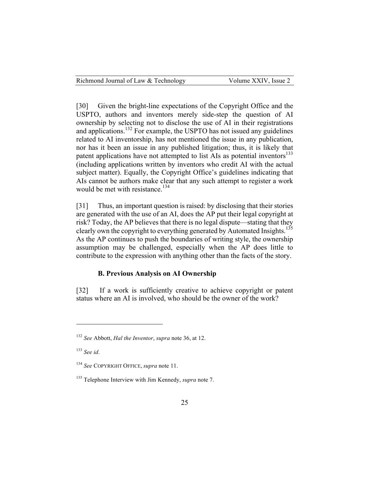[30] Given the bright-line expectations of the Copyright Office and the USPTO, authors and inventors merely side-step the question of AI ownership by selecting not to disclose the use of AI in their registrations and applications.<sup>132</sup> For example, the USPTO has not issued any guidelines related to AI inventorship, has not mentioned the issue in any publication, nor has it been an issue in any published litigation; thus, it is likely that patent applications have not attempted to list AIs as potential inventors<sup>133</sup> (including applications written by inventors who credit AI with the actual subject matter). Equally, the Copyright Office's guidelines indicating that AIs cannot be authors make clear that any such attempt to register a work would be met with resistance.<sup>134</sup>

[31] Thus, an important question is raised: by disclosing that their stories are generated with the use of an AI, does the AP put their legal copyright at risk? Today, the AP believes that there is no legal dispute—stating that they clearly own the copyright to everything generated by Automated Insights.<sup>135</sup> As the AP continues to push the boundaries of writing style, the ownership assumption may be challenged, especially when the AP does little to contribute to the expression with anything other than the facts of the story.

## **B. Previous Analysis on AI Ownership**

[32] If a work is sufficiently creative to achieve copyright or patent status where an AI is involved, who should be the owner of the work?

 $\overline{a}$ 

<sup>132</sup> *See* Abbott, *Hal the Inventor*, *supra* note 36, at 12.

<sup>133</sup> *See id*.

<sup>134</sup> *See* COPYRIGHT OFFICE, *supra* note 11.

<sup>135</sup> Telephone Interview with Jim Kennedy, *supra* note 7.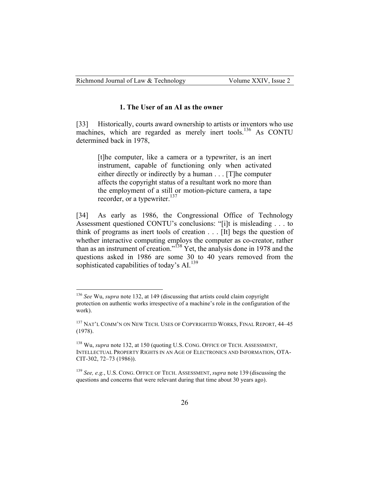#### **1. The User of an AI as the owner**

[33] Historically, courts award ownership to artists or inventors who use machines, which are regarded as merely inert tools.<sup>136</sup> As CONTU determined back in 1978,

[t]he computer, like a camera or a typewriter, is an inert instrument, capable of functioning only when activated either directly or indirectly by a human . . . [T]he computer affects the copyright status of a resultant work no more than the employment of a still or motion-picture camera, a tape recorder, or a typewriter.<sup>137</sup>

[34] As early as 1986, the Congressional Office of Technology Assessment questioned CONTU's conclusions: "[i]t is misleading . . . to think of programs as inert tools of creation . . . [It] begs the question of whether interactive computing employs the computer as co-creator, rather than as an instrument of creation."<sup>138</sup> Yet, the analysis done in 1978 and the questions asked in 1986 are some 30 to 40 years removed from the sophisticated capabilities of today's  $AI<sup>139</sup>$ .

 <sup>136</sup> *See* Wu, *supra* note 132, at 149 (discussing that artists could claim copyright protection on authentic works irrespective of a machine's role in the configuration of the work).

<sup>&</sup>lt;sup>137</sup> NAT'L COMM'N ON NEW TECH. USES OF COPYRIGHTED WORKS, FINAL REPORT, 44-45 (1978).

<sup>138</sup> Wu, *supra* note 132, at 150 (quoting U.S. CONG. OFFICE OF TECH. ASSESSMENT, INTELLECTUAL PROPERTY RIGHTS IN AN AGE OF ELECTRONICS AND INFORMATION, OTA-CIT-302, 72–73 (1986)).

<sup>139</sup> *See, e.g.*, U.S. CONG. OFFICE OF TECH. ASSESSMENT, *supra* note 139 (discussing the questions and concerns that were relevant during that time about 30 years ago).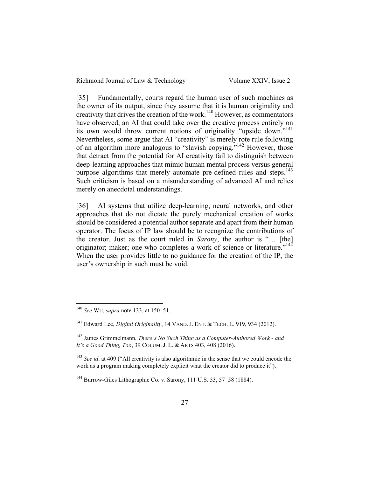|  | Volume XXIV, Issue 2 | Richmond Journal of Law & Technology |
|--|----------------------|--------------------------------------|
|--|----------------------|--------------------------------------|

[35] Fundamentally, courts regard the human user of such machines as the owner of its output, since they assume that it is human originality and creativity that drives the creation of the work.<sup>140</sup> However, as commentators have observed, an AI that could take over the creative process entirely on its own would throw current notions of originality "upside down."<sup>141</sup> Nevertheless, some argue that AI "creativity" is merely rote rule following of an algorithm more analogous to "slavish copying."142 However, those that detract from the potential for AI creativity fail to distinguish between deep-learning approaches that mimic human mental process versus general purpose algorithms that merely automate pre-defined rules and steps.<sup>143</sup> Such criticism is based on a misunderstanding of advanced AI and relies merely on anecdotal understandings.

[36] AI systems that utilize deep-learning, neural networks, and other approaches that do not dictate the purely mechanical creation of works should be considered a potential author separate and apart from their human operator. The focus of IP law should be to recognize the contributions of the creator. Just as the court ruled in *Sarony*, the author is "… [the] originator; maker; one who completes a work of science or literature."<sup>144</sup> When the user provides little to no guidance for the creation of the IP, the user's ownership in such must be void.

 <sup>140</sup> *See* WU, *supra* note 133, at 150–51.

<sup>141</sup> Edward Lee, *Digital Originality*, 14 VAND. J. ENT. & TECH. L. 919, 934 (2012).

<sup>142</sup> James Grimmelmann, *There's No Such Thing as a Computer-Authored Work - and It's a Good Thing, Too*, 39 COLUM. J. L. & ARTS 403, 408 (2016).

<sup>&</sup>lt;sup>143</sup> *See id.* at 409 ("All creativity is also algorithmic in the sense that we could encode the work as a program making completely explicit what the creator did to produce it").

<sup>&</sup>lt;sup>144</sup> Burrow-Giles Lithographic Co. v. Sarony, 111 U.S. 53, 57–58 (1884).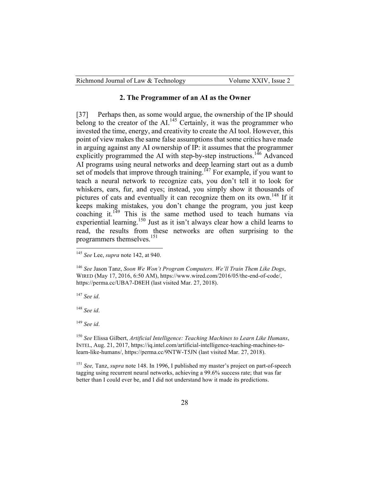| Richmond Journal of Law & Technology | Volume XXIV, Issue 2 |
|--------------------------------------|----------------------|
|--------------------------------------|----------------------|

#### **2. The Programmer of an AI as the Owner**

[37] Perhaps then, as some would argue, the ownership of the IP should belong to the creator of the AI.<sup>145</sup> Certainly, it was the programmer who invested the time, energy, and creativity to create the AI tool. However, this point of view makes the same false assumptions that some critics have made in arguing against any AI ownership of IP: it assumes that the programmer explicitly programmed the AI with step-by-step instructions.<sup>146</sup> Advanced AI programs using neural networks and deep learning start out as a dumb set of models that improve through training.<sup> $147$ </sup> For example, if you want to teach a neural network to recognize cats, you don't tell it to look for whiskers, ears, fur, and eyes; instead, you simply show it thousands of pictures of cats and eventually it can recognize them on its own.<sup>148</sup> If it keeps making mistakes, you don't change the program, you just keep coaching it.<sup>149</sup> This is the same method used to teach humans via experiential learning.<sup>150</sup> Just as it isn't always clear how a child learns to read, the results from these networks are often surprising to the programmers themselves.<sup>151</sup>

<sup>147</sup> *See id*.

<sup>148</sup> *See id*.

<sup>149</sup> *See id*.

 <sup>145</sup> *See* Lee, *supra* note 142, at 940.

<sup>146</sup> *See* Jason Tanz, *Soon We Won't Program Computers. We'll Train Them Like Dogs*, WIRED (May 17, 2016, 6:50 AM), https://www.wired.com/2016/05/the-end-of-code/, https://perma.cc/UBA7-D8EH (last visited Mar. 27, 2018).

<sup>150</sup> *See* Elissa Gilbert, *Artificial Intelligence: Teaching Machines to Learn Like Humans*, INTEL, Aug. 21, 2017, https://iq.intel.com/artificial-intelligence-teaching-machines-tolearn-like-humans/, https://perma.cc/9NTW-T5JN (last visited Mar. 27, 2018).

<sup>151</sup> *See,* Tanz, *supra* note 148. In 1996, I published my master's project on part-of-speech tagging using recurrent neural networks, achieving a 99.6% success rate; that was far better than I could ever be, and I did not understand how it made its predictions.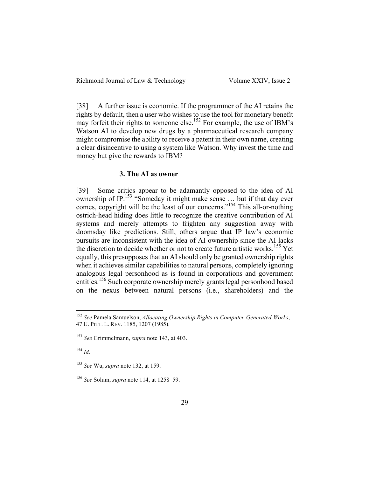[38] A further issue is economic. If the programmer of the AI retains the rights by default, then a user who wishes to use the tool for monetary benefit may forfeit their rights to someone else.<sup>152</sup> For example, the use of IBM's Watson AI to develop new drugs by a pharmaceutical research company might compromise the ability to receive a patent in their own name, creating a clear disincentive to using a system like Watson. Why invest the time and money but give the rewards to IBM?

#### **3. The AI as owner**

[39] Some critics appear to be adamantly opposed to the idea of AI ownership of IP.<sup>153</sup> "Someday it might make sense  $\dots$  but if that day ever comes, copyright will be the least of our concerns."<sup>154</sup> This all-or-nothing ostrich-head hiding does little to recognize the creative contribution of AI systems and merely attempts to frighten any suggestion away with doomsday like predictions. Still, others argue that IP law's economic pursuits are inconsistent with the idea of AI ownership since the AI lacks the discretion to decide whether or not to create future artistic works.<sup>155</sup> Yet equally, this presupposes that an AI should only be granted ownership rights when it achieves similar capabilities to natural persons, completely ignoring analogous legal personhood as is found in corporations and government entities.<sup>156</sup> Such corporate ownership merely grants legal personhood based on the nexus between natural persons (i.e., shareholders) and the

<sup>154</sup> *Id*.

 <sup>152</sup> *See* Pamela Samuelson, *Allocating Ownership Rights in Computer-Generated Works*, 47 U. PITT. L. REV. 1185, 1207 (1985).

<sup>153</sup> *See* Grimmelmann, *supra* note 143, at 403.

<sup>155</sup> *See* Wu, *supra* note 132, at 159.

<sup>156</sup> *See* Solum, *supra* note 114, at 1258–59.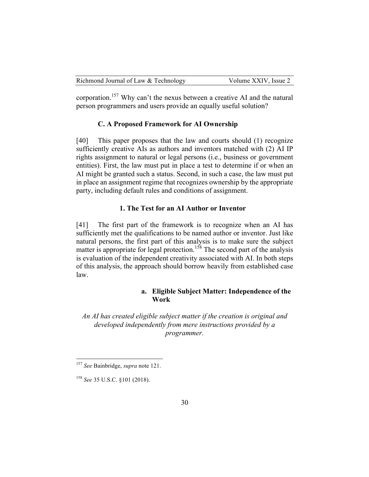| Richmond Journal of Law & Technology | Volume XXIV, Issue 2 |
|--------------------------------------|----------------------|
|--------------------------------------|----------------------|

corporation.<sup>157</sup> Why can't the nexus between a creative AI and the natural person programmers and users provide an equally useful solution?

#### **C. A Proposed Framework for AI Ownership**

[40] This paper proposes that the law and courts should (1) recognize sufficiently creative AIs as authors and inventors matched with (2) AI IP rights assignment to natural or legal persons (i.e., business or government entities). First, the law must put in place a test to determine if or when an AI might be granted such a status. Second, in such a case, the law must put in place an assignment regime that recognizes ownership by the appropriate party, including default rules and conditions of assignment.

### **1. The Test for an AI Author or Inventor**

[41] The first part of the framework is to recognize when an AI has sufficiently met the qualifications to be named author or inventor. Just like natural persons, the first part of this analysis is to make sure the subject matter is appropriate for legal protection.<sup>158</sup> The second part of the analysis is evaluation of the independent creativity associated with AI. In both steps of this analysis, the approach should borrow heavily from established case law.

### **a. Eligible Subject Matter: Independence of the Work**

*An AI has created eligible subject matter if the creation is original and developed independently from mere instructions provided by a programmer.*

 <sup>157</sup> *See* Bainbridge, *supra* note 121.

<sup>158</sup> *See* 35 U.S.C. §101 (2018).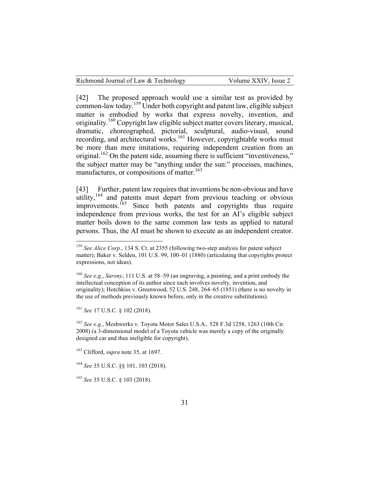[42] The proposed approach would use a similar test as provided by common-law today.<sup>159</sup> Under both copyright and patent law, eligible subject matter is embodied by works that express novelty, invention, and originality.<sup>160</sup> Copyright law eligible subject matter covers literary, musical, dramatic, choreographed, pictorial, sculptural, audio-visual, sound recording, and architectural works.<sup>161</sup> However, copyrightable works must be more than mere imitations, requiring independent creation from an original.<sup>162</sup> On the patent side, assuming there is sufficient "inventiveness," the subject matter may be "anything under the sun:" processes, machines, manufactures, or compositions of matter.<sup>163</sup>

[43] Further, patent law requires that inventions be non-obvious and have utility,<sup>164</sup> and patents must depart from previous teaching or obvious improvements.<sup>165</sup> Since both patents and copyrights thus require independence from previous works, the test for an AI's eligible subject matter boils down to the same common law tests as applied to natural persons. Thus, the AI must be shown to execute as an independent creator.

<sup>161</sup> *See* 17 U.S.C. § 102 (2018).

<sup>162</sup> *See e.g.*, Meshwerks v. Toyota Motor Sales U.S.A.*,* 528 F.3d 1258, 1263 (10th Cir. 2008) (a 3-dimensional model of a Toyota vehicle was merely a copy of the originally designed car and thus ineligible for copyright).

<sup>&</sup>lt;sup>159</sup> *See Alice Corp.*, 134 S. Ct. at 2355 (following two-step analysis for patent subject matter); Baker v. Selden, 101 U.S. 99, 100–01 (1880) (articulating that copyrights protect expressions, not ideas).

<sup>160</sup> *See e.g.*, *Sarony*, 111 U.S. at 58–59 (an engraving, a painting, and a print embody the intellectual conception of its author since each involves novelty, invention, and originality); Hotchkiss v. Greenwood, 52 U.S. 248, 264–65 (1851) (there is no novelty in the use of methods previously known before, only in the creative substitutions).

<sup>163</sup> Clifford, *supra* note 35, at 1697.

<sup>164</sup> *See* 35 U.S.C. §§ 101, 103 (2018).

<sup>165</sup> *See* 35 U.S.C. § 103 (2018).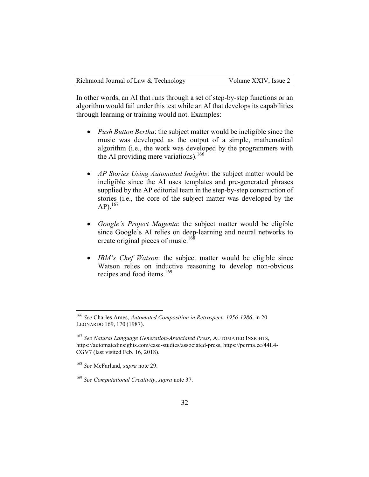In other words, an AI that runs through a set of step-by-step functions or an algorithm would fail under this test while an AI that develops its capabilities through learning or training would not. Examples:

- *Push Button Bertha*: the subject matter would be ineligible since the music was developed as the output of a simple, mathematical algorithm (i.e., the work was developed by the programmers with the AI providing mere variations). 166
- *AP Stories Using Automated Insights*: the subject matter would be ineligible since the AI uses templates and pre-generated phrases supplied by the AP editorial team in the step-by-step construction of stories (i.e., the core of the subject matter was developed by the  $AP).^{167}$
- *Google's Project Magenta*: the subject matter would be eligible since Google's AI relies on deep-learning and neural networks to create original pieces of music.<sup>168</sup>
- *IBM's Chef Watson*: the subject matter would be eligible since Watson relies on inductive reasoning to develop non-obvious recipes and food items.<sup>169</sup>

 <sup>166</sup> *See* Charles Ames, *Automated Composition in Retrospect: 1956-1986*, in 20 LEONARDO 169, 170 (1987).

<sup>167</sup> *See Natural Language Generation-Associated Press*, AUTOMATED INSIGHTS, https://automatedinsights.com/case-studies/associated-press, https://perma.cc/44L4- CGV7 (last visited Feb. 16, 2018).

<sup>168</sup> *See* McFarland, *supra* note 29.

<sup>169</sup> *See Computational Creativity*, *supra* note 37.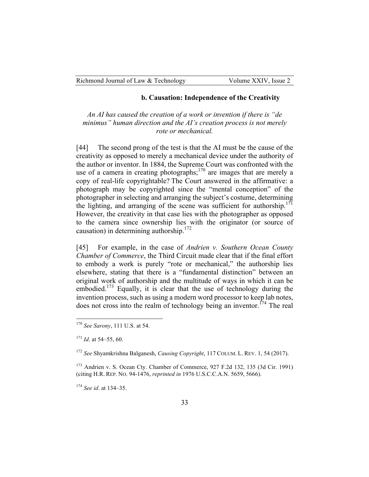#### **b. Causation: Independence of the Creativity**

*An AI has caused the creation of a work or invention if there is "de minimus" human direction and the AI's creation process is not merely rote or mechanical.*

[44] The second prong of the test is that the AI must be the cause of the creativity as opposed to merely a mechanical device under the authority of the author or inventor. In 1884, the Supreme Court was confronted with the use of a camera in creating photographs; $170$  are images that are merely a copy of real-life copyrightable? The Court answered in the affirmative: a photograph may be copyrighted since the "mental conception" of the photographer in selecting and arranging the subject's costume, determining the lighting, and arranging of the scene was sufficient for authorship.<sup>171</sup> However, the creativity in that case lies with the photographer as opposed to the camera since ownership lies with the originator (or source of causation) in determining authorship. $172$ 

[45] For example, in the case of *Andrien v. Southern Ocean County Chamber of Commerce*, the Third Circuit made clear that if the final effort to embody a work is purely "rote or mechanical," the authorship lies elsewhere, stating that there is a "fundamental distinction" between an original work of authorship and the multitude of ways in which it can be embodied.<sup>173</sup> Equally, it is clear that the use of technology during the invention process, such as using a modern word processor to keep lab notes, does not cross into the realm of technology being an inventor.<sup>174</sup> The real

<sup>174</sup> *See id*. at 134–35.

 <sup>170</sup> *See Sarony*, 111 U.S. at 54.

<sup>171</sup> *Id*. at 54–55, 60.

<sup>172</sup> *See* Shyamkrishna Balganesh, *Causing Copyright*, 117 COLUM. L. REV. 1, 54 (2017).

<sup>173</sup> Andrien v. S. Ocean Cty. Chamber of Commerce, 927 F.2d 132, 135 (3d Cir. 1991) (citing H.R. REP. NO. 94-1476, *reprinted in* 1976 U.S.C.C.A.N. 5659, 5666).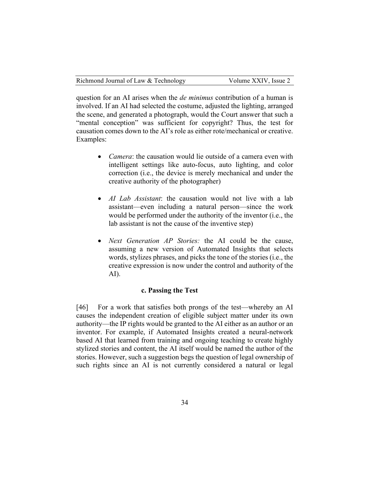question for an AI arises when the *de minimus* contribution of a human is involved. If an AI had selected the costume, adjusted the lighting, arranged the scene, and generated a photograph, would the Court answer that such a "mental conception" was sufficient for copyright? Thus, the test for causation comes down to the AI's role as either rote/mechanical or creative. Examples:

- *Camera*: the causation would lie outside of a camera even with intelligent settings like auto-focus, auto lighting, and color correction (i.e., the device is merely mechanical and under the creative authority of the photographer)
- *AI Lab Assistant*: the causation would not live with a lab assistant—even including a natural person—since the work would be performed under the authority of the inventor (i.e., the lab assistant is not the cause of the inventive step)
- *Next Generation AP Stories:* the AI could be the cause, assuming a new version of Automated Insights that selects words, stylizes phrases, and picks the tone of the stories (i.e., the creative expression is now under the control and authority of the AI).

#### **c. Passing the Test**

[46] For a work that satisfies both prongs of the test—whereby an AI causes the independent creation of eligible subject matter under its own authority—the IP rights would be granted to the AI either as an author or an inventor. For example, if Automated Insights created a neural-network based AI that learned from training and ongoing teaching to create highly stylized stories and content, the AI itself would be named the author of the stories. However, such a suggestion begs the question of legal ownership of such rights since an AI is not currently considered a natural or legal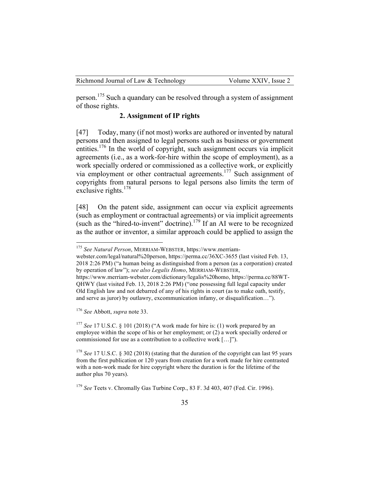person.<sup>175</sup> Such a quandary can be resolved through a system of assignment of those rights.

## **2. Assignment of IP rights**

[47] Today, many (if not most) works are authored or invented by natural persons and then assigned to legal persons such as business or government entities.<sup>176</sup> In the world of copyright, such assignment occurs via implicit agreements (i.e., as a work-for-hire within the scope of employment), as a work specially ordered or commissioned as a collective work, or explicitly via employment or other contractual agreements.<sup>177</sup> Such assignment of copyrights from natural persons to legal persons also limits the term of exclusive rights. $178$ 

[48] On the patent side, assignment can occur via explicit agreements (such as employment or contractual agreements) or via implicit agreements (such as the "hired-to-invent" doctrine).<sup>179</sup> If an AI were to be recognized as the author or inventor, a similar approach could be applied to assign the

webster.com/legal/natural%20person, https://perma.cc/36XC-3655 (last visited Feb. 13, 2018 2:26 PM) ("a human being as distinguished from a person (as a corporation) created by operation of law"); *see also Legalis Homo*, MERRIAM-WEBSTER,

<sup>176</sup> *See* Abbott, *supra* note 33.

<sup>177</sup> *See* 17 U.S.C. § 101 (2018) ("A work made for hire is: (1) work prepared by an employee within the scope of his or her employment; or (2) a work specially ordered or commissioned for use as a contribution to a collective work […]").

<sup>178</sup> *See* 17 U.S.C. § 302 (2018) (stating that the duration of the copyright can last 95 years from the first publication or 120 years from creation for a work made for hire contrasted with a non-work made for hire copyright where the duration is for the lifetime of the author plus 70 years).

 <sup>175</sup> *See Natural Person*, MERRIAM-WEBSTER, https://www.merriam-

https://www.merriam-webster.com/dictionary/legalis%20homo, https://perma.cc/88WT-QHWY (last visited Feb. 13, 2018 2:26 PM) ("one possessing full legal capacity under Old English law and not debarred of any of his rights in court (as to make oath, testify, and serve as juror) by outlawry, excommunication infamy, or disqualification…").

<sup>179</sup> *See* Teets v. Chromally Gas Turbine Corp., 83 F. 3d 403, 407 (Fed. Cir. 1996).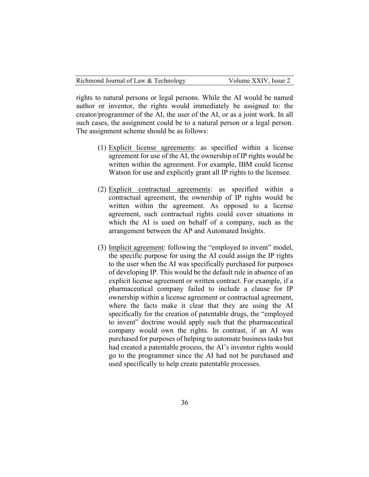rights to natural persons or legal persons. While the AI would be named author or inventor, the rights would immediately be assigned to: the creator/programmer of the AI, the user of the AI, or as a joint work. In all such cases, the assignment could be to a natural person or a legal person. The assignment scheme should be as follows:

- (1) Explicit license agreements: as specified within a license agreement for use of the AI, the ownership of IP rights would be written within the agreement. For example, IBM could license Watson for use and explicitly grant all IP rights to the licensee.
- (2) Explicit contractual agreements: as specified within a contractual agreement, the ownership of IP rights would be written within the agreement. As opposed to a license agreement, such contractual rights could cover situations in which the AI is used on behalf of a company, such as the arrangement between the AP and Automated Insights.
- (3) Implicit agreement: following the "employed to invent" model, the specific purpose for using the AI could assign the IP rights to the user when the AI was specifically purchased for purposes of developing IP. This would be the default rule in absence of an explicit license agreement or written contract. For example, if a pharmaceutical company failed to include a clause for IP ownership within a license agreement or contractual agreement, where the facts make it clear that they are using the AI specifically for the creation of patentable drugs, the "employed to invent" doctrine would apply such that the pharmaceutical company would own the rights. In contrast, if an AI was purchased for purposes of helping to automate business tasks but had created a patentable process, the AI's inventor rights would go to the programmer since the AI had not be purchased and used specifically to help create patentable processes.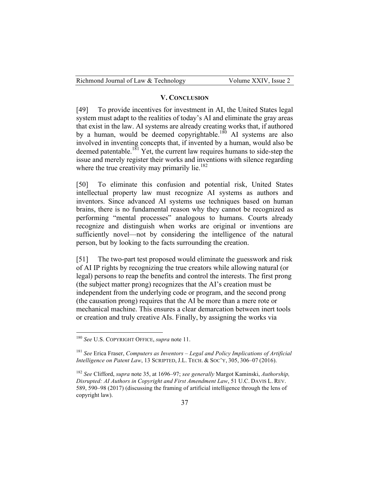| Richmond Journal of Law & Technology | Volume XXIV, Issue 2 |
|--------------------------------------|----------------------|
|--------------------------------------|----------------------|

#### **V. CONCLUSION**

[49] To provide incentives for investment in AI, the United States legal system must adapt to the realities of today's AI and eliminate the gray areas that exist in the law. AI systems are already creating works that, if authored by a human, would be deemed copyrightable.<sup>180</sup> AI systems are also involved in inventing concepts that, if invented by a human, would also be deemed patentable.<sup>181</sup> Yet, the current law requires humans to side-step the issue and merely register their works and inventions with silence regarding where the true creativity may primarily lie.<sup>182</sup>

[50] To eliminate this confusion and potential risk, United States intellectual property law must recognize AI systems as authors and inventors. Since advanced AI systems use techniques based on human brains, there is no fundamental reason why they cannot be recognized as performing "mental processes" analogous to humans. Courts already recognize and distinguish when works are original or inventions are sufficiently novel—not by considering the intelligence of the natural person, but by looking to the facts surrounding the creation.

[51] The two-part test proposed would eliminate the guesswork and risk of AI IP rights by recognizing the true creators while allowing natural (or legal) persons to reap the benefits and control the interests. The first prong (the subject matter prong) recognizes that the AI's creation must be independent from the underlying code or program, and the second prong (the causation prong) requires that the AI be more than a mere rote or mechanical machine. This ensures a clear demarcation between inert tools or creation and truly creative AIs. Finally, by assigning the works via

 <sup>180</sup> *See* U.S. COPYRIGHT OFFICE, *supra* note 11.

<sup>181</sup> *See* Erica Fraser, *Computers as Inventors – Legal and Policy Implications of Artificial Intelligence on Patent Law*, 13 SCRIPTED, J.L. TECH. & SOC'Y, 305, 306–07 (2016).

<sup>182</sup> *See* Clifford, *supra* note 35, at 1696–97; *see generally* Margot Kaminski, *Authorship, Disrupted: AI Authors in Copyright and First Amendment Law*, 51 U.C. DAVIS L. REV. 589, 590–98 (2017) (discussing the framing of artificial intelligence through the lens of copyright law).